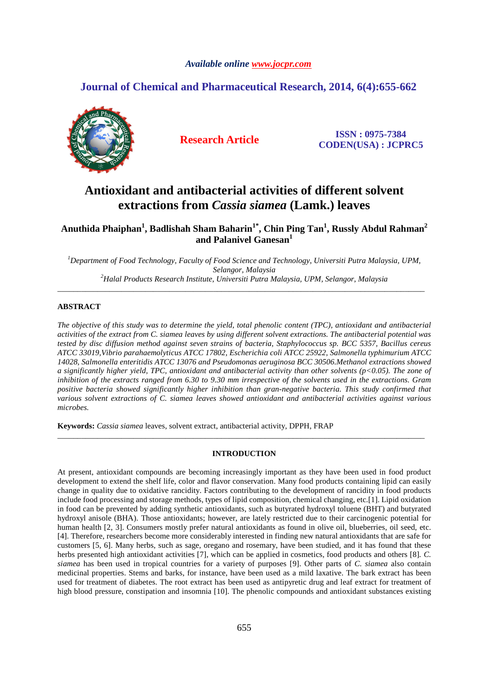# *Available online www.jocpr.com*

# **Journal of Chemical and Pharmaceutical Research, 2014, 6(4):655-662**



**Research Article ISSN : 0975-7384 CODEN(USA) : JCPRC5**

# **Antioxidant and antibacterial activities of different solvent extractions from** *Cassia siamea* **(Lamk.) leaves**

**Anuthida Phaiphan<sup>1</sup> , Badlishah Sham Baharin1\*, Chin Ping Tan<sup>1</sup> , Russly Abdul Rahman<sup>2</sup> and Palanivel Ganesan<sup>1</sup>**

*<sup>1</sup>Department of Food Technology, Faculty of Food Science and Technology, Universiti Putra Malaysia, UPM, Selangor, Malaysia <sup>2</sup>Halal Products Research Institute, Universiti Putra Malaysia, UPM, Selangor, Malaysia* 

\_\_\_\_\_\_\_\_\_\_\_\_\_\_\_\_\_\_\_\_\_\_\_\_\_\_\_\_\_\_\_\_\_\_\_\_\_\_\_\_\_\_\_\_\_\_\_\_\_\_\_\_\_\_\_\_\_\_\_\_\_\_\_\_\_\_\_\_\_\_\_\_\_\_\_\_\_\_\_\_\_\_\_\_\_\_\_\_\_\_\_\_

# **ABSTRACT**

*The objective of this study was to determine the yield, total phenolic content (TPC), antioxidant and antibacterial activities of the extract from C. siamea leaves by using different solvent extractions. The antibacterial potential was tested by disc diffusion method against seven strains of bacteria, Staphylococcus sp. BCC 5357, Bacillus cereus ATCC 33019,Vibrio parahaemolyticus ATCC 17802, Escherichia coli ATCC 25922, Salmonella typhimurium ATCC 14028, Salmonella enteritidis ATCC 13076 and Pseudomonas aeruginosa BCC 30506.Methanol extractions showed a significantly higher yield, TPC, antioxidant and antibacterial activity than other solvents (p<0.05). The zone of inhibition of the extracts ranged from 6.30 to 9.30 mm irrespective of the solvents used in the extractions. Gram positive bacteria showed significantly higher inhibition than gran-negative bacteria. This study confirmed that various solvent extractions of C. siamea leaves showed antioxidant and antibacterial activities against various microbes.* 

**Keywords:** *Cassia siamea* leaves, solvent extract, antibacterial activity, DPPH, FRAP

# **INTRODUCTION**

\_\_\_\_\_\_\_\_\_\_\_\_\_\_\_\_\_\_\_\_\_\_\_\_\_\_\_\_\_\_\_\_\_\_\_\_\_\_\_\_\_\_\_\_\_\_\_\_\_\_\_\_\_\_\_\_\_\_\_\_\_\_\_\_\_\_\_\_\_\_\_\_\_\_\_\_\_\_\_\_\_\_\_\_\_\_\_\_\_\_\_\_

At present, antioxidant compounds are becoming increasingly important as they have been used in food product development to extend the shelf life, color and flavor conservation. Many food products containing lipid can easily change in quality due to oxidative rancidity. Factors contributing to the development of rancidity in food products include food processing and storage methods, types of lipid composition, chemical changing, etc.[1]. Lipid oxidation in food can be prevented by adding synthetic antioxidants, such as butyrated hydroxyl toluene (BHT) and butyrated hydroxyl anisole (BHA). Those antioxidants; however, are lately restricted due to their carcinogenic potential for human health [2, 3]. Consumers mostly prefer natural antioxidants as found in olive oil, blueberries, oil seed, etc. [4]. Therefore, researchers become more considerably interested in finding new natural antioxidants that are safe for customers [5, 6]. Many herbs, such as sage, oregano and rosemary, have been studied, and it has found that these herbs presented high antioxidant activities [7], which can be applied in cosmetics, food products and others [8]*. C. siamea* has been used in tropical countries for a variety of purposes [9]. Other parts of *C. siamea* also contain medicinal properties. Stems and barks, for instance, have been used as a mild laxative. The bark extract has been used for treatment of diabetes. The root extract has been used as antipyretic drug and leaf extract for treatment of high blood pressure, constipation and insomnia [10]. The phenolic compounds and antioxidant substances existing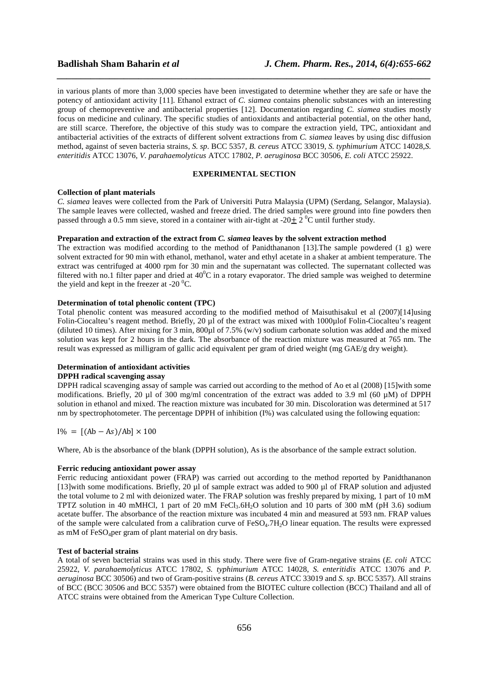in various plants of more than 3,000 species have been investigated to determine whether they are safe or have the potency of antioxidant activity [11]. Ethanol extract of *C. siamea* contains phenolic substances with an interesting group of chemopreventive and antibacterial properties [12]. Documentation regarding *C. siamea* studies mostly focus on medicine and culinary. The specific studies of antioxidants and antibacterial potential, on the other hand, are still scarce. Therefore, the objective of this study was to compare the extraction yield, TPC, antioxidant and antibacterial activities of the extracts of different solvent extractions from *C. siamea* leaves by using disc diffusion method, against of seven bacteria strains, *S. sp*. BCC 5357, *B. cereus* ATCC 33019, *S. typhimurium* ATCC 14028,*S. enteritidis* ATCC 13076, *V. parahaemolyticus* ATCC 17802, *P. aeruginosa* BCC 30506, *E. coli* ATCC 25922.

*\_\_\_\_\_\_\_\_\_\_\_\_\_\_\_\_\_\_\_\_\_\_\_\_\_\_\_\_\_\_\_\_\_\_\_\_\_\_\_\_\_\_\_\_\_\_\_\_\_\_\_\_\_\_\_\_\_\_\_\_\_\_\_\_\_\_\_\_\_\_\_\_\_\_\_\_\_\_*

## **EXPERIMENTAL SECTION**

## **Collection of plant materials**

*C. siamea* leaves were collected from the Park of Universiti Putra Malaysia (UPM) (Serdang, Selangor, Malaysia). The sample leaves were collected, washed and freeze dried. The dried samples were ground into fine powders then passed through a 0.5 mm sieve, stored in a container with air-tight at -20 $\pm$  2<sup>°</sup>C until further study.

# **Preparation and extraction of the extract from** *C. siamea* **leaves by the solvent extraction method**

The extraction was modified according to the method of Panidthananon [13].The sample powdered (1 g) were solvent extracted for 90 min with ethanol, methanol, water and ethyl acetate in a shaker at ambient temperature. The extract was centrifuged at 4000 rpm for 30 min and the supernatant was collected. The supernatant collected was filtered with no.1 filter paper and dried at  $40^{\circ}$ C in a rotary evaporator. The dried sample was weighed to determine the yield and kept in the freezer at -20 $\mathrm{^{0}C}$ .

### **Determination of total phenolic content (TPC)**

Total phenolic content was measured according to the modified method of Maisuthisakul et al (2007)[14]using Folin-Ciocalteu's reagent method. Briefly, 20 µl of the extract was mixed with 1000µlof Folin-Ciocalteu's reagent (diluted 10 times). After mixing for 3 min, 800µl of 7.5% (w/v) sodium carbonate solution was added and the mixed solution was kept for 2 hours in the dark. The absorbance of the reaction mixture was measured at 765 nm. The result was expressed as milligram of gallic acid equivalent per gram of dried weight (mg GAE/g dry weight).

### **Determination of antioxidant activities**

# **DPPH radical scavenging assay**

DPPH radical scavenging assay of sample was carried out according to the method of Ao et al (2008) [15]with some modifications. Briefly, 20  $\mu$ l of 300 mg/ml concentration of the extract was added to 3.9 ml (60  $\mu$ M) of DPPH solution in ethanol and mixed. The reaction mixture was incubated for 30 min. Discoloration was determined at 517 nm by spectrophotometer. The percentage DPPH of inhibition (I%) was calculated using the following equation:

 $I\% = [(Ab - As)/Ab] \times 100$ 

Where, Ab is the absorbance of the blank (DPPH solution), As is the absorbance of the sample extract solution.

### **Ferric reducing antioxidant power assay**

Ferric reducing antioxidant power (FRAP) was carried out according to the method reported by Panidthananon [13]with some modifications. Briefly, 20 µl of sample extract was added to 900 µl of FRAP solution and adjusted the total volume to 2 ml with deionized water. The FRAP solution was freshly prepared by mixing, 1 part of 10 mM TPTZ solution in 40 mMHCl, 1 part of 20 mM FeCl<sub>3</sub>.6H<sub>2</sub>O solution and 10 parts of 300 mM (pH 3.6) sodium acetate buffer. The absorbance of the reaction mixture was incubated 4 min and measured at 593 nm. FRAP values of the sample were calculated from a calibration curve of  $FeSO<sub>4</sub>·7H<sub>2</sub>O$  linear equation. The results were expressed as mM of  $FeSO_4$ per gram of plant material on dry basis.

# **Test of bacterial strains**

A total of seven bacterial strains was used in this study. There were five of Gram-negative strains (*E. coli* ATCC 25922, *V. parahaemolyticus* ATCC 17802, *S. typhimurium* ATCC 14028, *S. enteritidis* ATCC 13076 and *P. aeruginosa* BCC 30506) and two of Gram-positive strains (*B. cereus* ATCC 33019 and *S. sp*. BCC 5357). All strains of BCC (BCC 30506 and BCC 5357) were obtained from the BIOTEC culture collection (BCC) Thailand and all of ATCC strains were obtained from the American Type Culture Collection.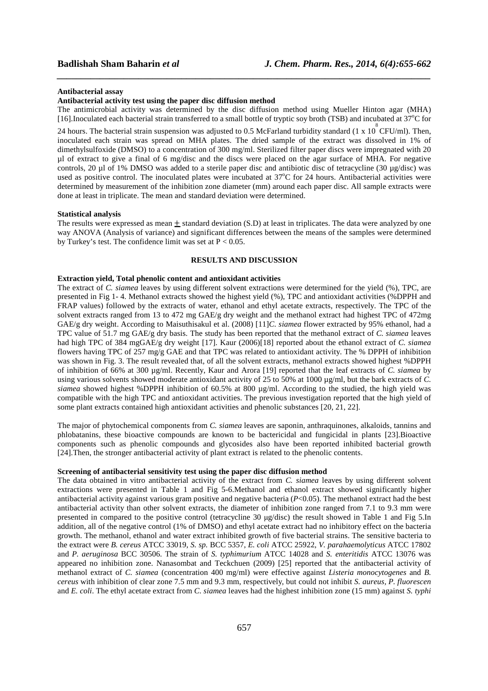### **Antibacterial assay**

# **Antibacterial activity test using the paper disc diffusion method**

The antimicrobial activity was determined by the disc diffusion method using Mueller Hinton agar (MHA) [16].Inoculated each bacterial strain transferred to a small bottle of tryptic soy broth (TSB) and incubated at  $37^{\circ}$ C for

*\_\_\_\_\_\_\_\_\_\_\_\_\_\_\_\_\_\_\_\_\_\_\_\_\_\_\_\_\_\_\_\_\_\_\_\_\_\_\_\_\_\_\_\_\_\_\_\_\_\_\_\_\_\_\_\_\_\_\_\_\_\_\_\_\_\_\_\_\_\_\_\_\_\_\_\_\_\_*

24 hours. The bacterial strain suspension was adjusted to 0.5 McFarland turbidity standard (1 x 10  $^{8}$ CFU/ml). Then, inoculated each strain was spread on MHA plates. The dried sample of the extract was dissolved in 1% of dimethylsulfoxide (DMSO) to a concentration of 300 mg/ml. Sterilized filter paper discs were impregnated with 20 µl of extract to give a final of 6 mg/disc and the discs were placed on the agar surface of MHA. For negative controls, 20 ul of 1% DMSO was added to a sterile paper disc and antibiotic disc of tetracycline (30 ug/disc) was used as positive control. The inoculated plates were incubated at  $37^{\circ}$ C for 24 hours. Antibacterial activities were determined by measurement of the inhibition zone diameter (mm) around each paper disc. All sample extracts were done at least in triplicate. The mean and standard deviation were determined.

### **Statistical analysis**

The results were expressed as mean  $\pm$  standard deviation (S.D) at least in triplicates. The data were analyzed by one way ANOVA (Analysis of variance) and significant differences between the means of the samples were determined by Turkey's test. The confidence limit was set at  $P < 0.05$ .

### **RESULTS AND DISCUSSION**

### **Extraction yield, Total phenolic content and antioxidant activities**

The extract of *C. siamea* leaves by using different solvent extractions were determined for the yield (%), TPC, are presented in Fig 1- 4. Methanol extracts showed the highest yield (%), TPC and antioxidant activities (%DPPH and FRAP values) followed by the extracts of water, ethanol and ethyl acetate extracts, respectively. The TPC of the solvent extracts ranged from 13 to 472 mg GAE/g dry weight and the methanol extract had highest TPC of 472mg GAE/g dry weight. According to Maisuthisakul et al. (2008) [11]*C. siamea* flower extracted by 95% ethanol, had a TPC value of 51.7 mg GAE/g dry basis. The study has been reported that the methanol extract of *C. siamea* leaves had high TPC of 384 mgGAE/g dry weight [17]. Kaur (2006)[18] reported about the ethanol extract of *C. siamea* flowers having TPC of 257 mg/g GAE and that TPC was related to antioxidant activity. The % DPPH of inhibition was shown in Fig. 3. The result revealed that, of all the solvent extracts, methanol extracts showed highest %DPPH of inhibition of 66% at 300 µg/ml. Recently, Kaur and Arora [19] reported that the leaf extracts of *C. siamea* by using various solvents showed moderate antioxidant activity of 25 to 50% at 1000 µg/ml, but the bark extracts of *C. siamea* showed highest %DPPH inhibition of 60.5% at 800 µg/ml. According to the studied, the high yield was compatible with the high TPC and antioxidant activities. The previous investigation reported that the high yield of some plant extracts contained high antioxidant activities and phenolic substances [20, 21, 22].

The major of phytochemical components from *C. siamea* leaves are saponin, anthraquinones, alkaloids, tannins and phlobatanins, these bioactive compounds are known to be bactericidal and fungicidal in plants [23].Bioactive components such as phenolic compounds and glycosides also have been reported inhibited bacterial growth [24].Then, the stronger antibacterial activity of plant extract is related to the phenolic contents.

### **Screening of antibacterial sensitivity test using the paper disc diffusion method**

The data obtained in vitro antibacterial activity of the extract from *C. siamea* leaves by using different solvent extractions were presented in Table 1 and Fig 5-6.Methanol and ethanol extract showed significantly higher antibacterial activity against various gram positive and negative bacteria (*P*<0.05). The methanol extract had the best antibacterial activity than other solvent extracts, the diameter of inhibition zone ranged from 7.1 to 9.3 mm were presented in compared to the positive control (tetracycline 30 µg/disc) the result showed in Table 1 and Fig 5.In addition, all of the negative control (1% of DMSO) and ethyl acetate extract had no inhibitory effect on the bacteria growth. The methanol, ethanol and water extract inhibited growth of five bacterial strains. The sensitive bacteria to the extract were *B. cereus* ATCC 33019, *S. sp.* BCC 5357, *E. coli* ATCC 25922, *V. parahaemolyticus* ATCC 17802 and *P. aeruginosa* BCC 30506. The strain of *S. typhimurium* ATCC 14028 and *S. enteritidis* ATCC 13076 was appeared no inhibition zone. Nanasombat and Teckchuen (2009) [25] reported that the antibacterial activity of methanol extract of *C. siamea* (concentration 400 mg/ml) were effective against *Listeria monocytogenes* and *B. cereus* with inhibition of clear zone 7.5 mm and 9.3 mm, respectively, but could not inhibit *S. aureus, P. fluorescen*  and *E. coli*. The ethyl acetate extract from *C. siamea* leaves had the highest inhibition zone (15 mm) against *S. typhi*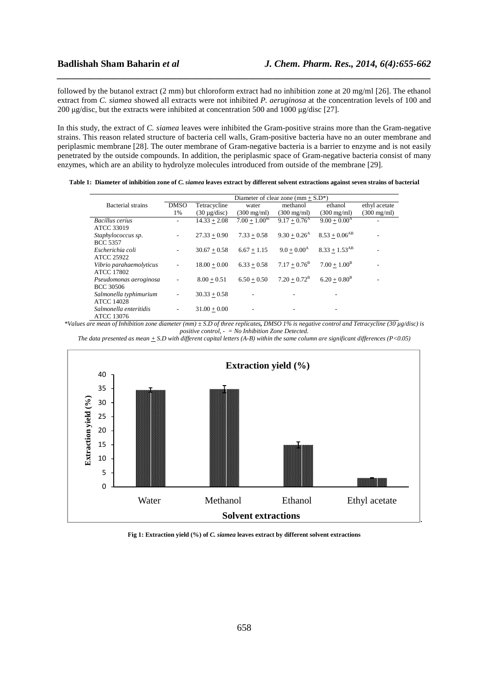followed by the butanol extract (2 mm) but chloroform extract had no inhibition zone at 20 mg/ml [26]. The ethanol extract from *C. siamea* showed all extracts were not inhibited *P. aeruginosa* at the concentration levels of 100 and 200 µg/disc, but the extracts were inhibited at concentration 500 and 1000 µg/disc [27].

*\_\_\_\_\_\_\_\_\_\_\_\_\_\_\_\_\_\_\_\_\_\_\_\_\_\_\_\_\_\_\_\_\_\_\_\_\_\_\_\_\_\_\_\_\_\_\_\_\_\_\_\_\_\_\_\_\_\_\_\_\_\_\_\_\_\_\_\_\_\_\_\_\_\_\_\_\_\_*

In this study, the extract of *C. siamea* leaves were inhibited the Gram-positive strains more than the Gram-negative strains. This reason related structure of bacteria cell walls, Gram-positive bacteria have no an outer membrane and periplasmic membrane [28]. The outer membrane of Gram-negative bacteria is a barrier to enzyme and is not easily penetrated by the outside compounds. In addition, the periplasmic space of Gram-negative bacteria consist of many enzymes, which are an ability to hydrolyze molecules introduced from outside of the membrane [29].

|                                             | Diameter of clear zone (mm + $S.D^*$ ) |                   |                           |                            |                       |                       |
|---------------------------------------------|----------------------------------------|-------------------|---------------------------|----------------------------|-----------------------|-----------------------|
| Bacterial strains                           | <b>DMSO</b>                            | Tetracycline      | water                     | methanol                   | ethanol               | ethyl acetate         |
|                                             | 1%                                     | $(30 \mu g/disc)$ | $(300 \text{ mg/ml})$     | $(300 \text{ mg/ml})$      | $(300 \text{ mg/ml})$ | $(300 \text{ mg/ml})$ |
| <b>Bacillus</b> cerius<br>ATCC 33019        | -                                      | $14.33 + 2.08$    | $7.00 + 1.00^{\text{ns}}$ | $9.17 + 0.76^{\rm A}$      | $9.00 + 0.00^{\rm A}$ |                       |
| Staphylococcus sp.<br><b>BCC 5357</b>       | ۰.                                     | $27.33 + 0.90$    | $7.33 + 0.58$             | $9.30 + 0.26$ <sup>A</sup> | $8.53 + 0.06^{AB}$    |                       |
| Escherichia coli<br><b>ATCC 25922</b>       | -                                      | $30.67 + 0.58$    | $6.67 + 1.15$             | $9.0 + 0.00^{\rm A}$       | $8.33 + 1.53^{AB}$    |                       |
| Vibrio parahaemolyticus<br>ATCC 17802       |                                        | $18.00 + 0.00$    | $6.33 + 0.58$             | $7.17 + 0.76^{\rm B}$      | $7.00 + 1.00^{\rm B}$ |                       |
| Pseudomonas aeroginosa<br><b>BCC 30506</b>  | ۰                                      | $8.00 + 0.51$     | $6.50 + 0.50$             | $7.20 + 0.72^{\rm B}$      | $6.20 + 0.80^{\rm B}$ |                       |
| Salmonella typhimurium<br><b>ATCC 14028</b> |                                        | $30.33 + 0.58$    |                           |                            |                       |                       |
| Salmonella enteritidis<br>ATCC 13076        |                                        | $31.00 + 0.00$    |                           |                            |                       |                       |

**Table 1: Diameter of inhibition zone of** *C. siamea* **leaves extract by different solvent extractions against seven strains of bacterial** 

*\*Values are mean of Inhibition zone diameter (mm) ± S.D of three replicates, DMSO 1% is negative control and Tetracycline (30 µg/disc) is positive control, - = No Inhibition Zone Detected.*

*The data presented as mean + S.D with different capital letters (A-B) within the same column are significant differences (P<0.05)*



**Fig 1: Extraction yield (%) of** *C. siamea* **leaves extract by different solvent extractions**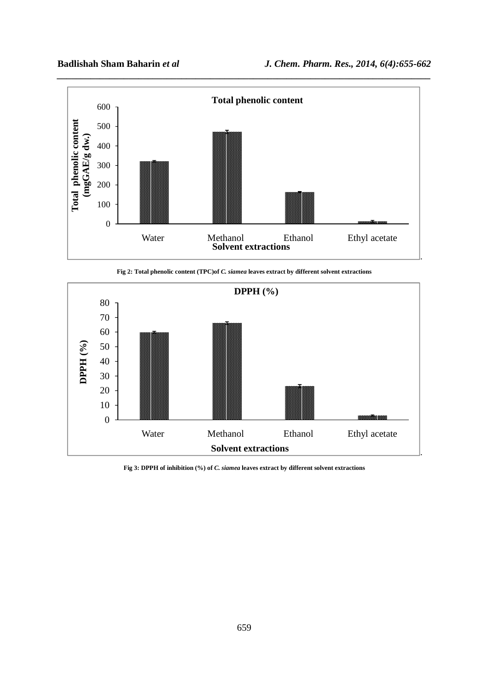

**Fig 2: Total phenolic content (TPC)of** *C. siamea* **leaves extract by different solvent extractions** 



**Fig 3: DPPH of inhibition (%) of** *C. siamea* **leaves extract by different solvent extractions**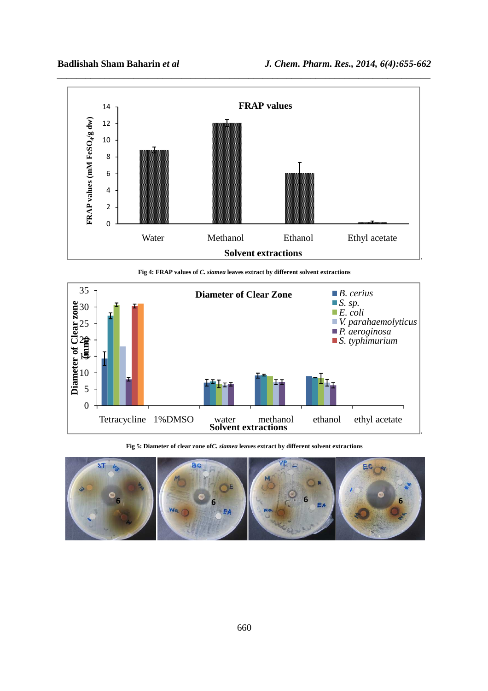

**Fig 4: FRAP values of** *C. siamea* **leaves extract by different solvent extractions** 



**Fig 5: Diameter of clear zone of***C. siamea* **leaves extract by different solvent extractions** 

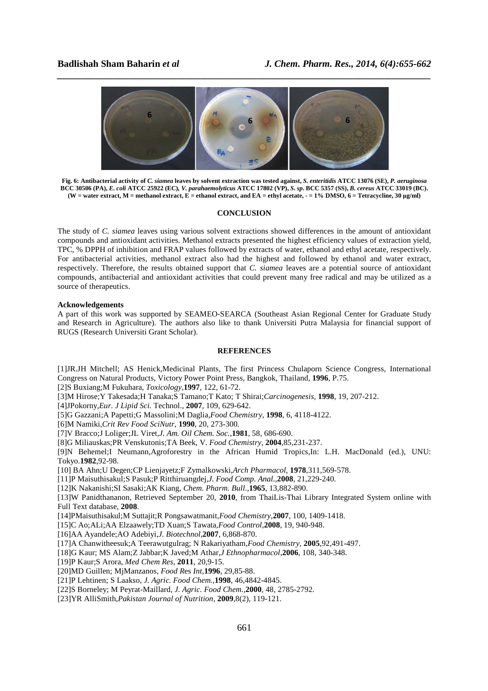

*\_\_\_\_\_\_\_\_\_\_\_\_\_\_\_\_\_\_\_\_\_\_\_\_\_\_\_\_\_\_\_\_\_\_\_\_\_\_\_\_\_\_\_\_\_\_\_\_\_\_\_\_\_\_\_\_\_\_\_\_\_\_\_\_\_\_\_\_\_\_\_\_\_\_\_\_\_\_*

**Fig. 6: Antibacterial activity of** *C. siamea* **leaves by solvent extraction was tested against,** *S. enteritidis* **ATCC 13076 (SE),** *P. aeruginosa* **BCC 30506 (PA),** *E. coli* **ATCC 25922 (EC)***, V. parahaemolyticus* **ATCC 17802 (VP),** *S. sp***. BCC 5357 (SS),** *B. cereus* **ATCC 33019 (BC). (W = water extract, M = methanol extract, E = ethanol extract, and EA = ethyl acetate, - = 1% DMSO, 6 = Tetracycline, 30 µg/ml)**

### **CONCLUSION**

The study of *C. siamea* leaves using various solvent extractions showed differences in the amount of antioxidant compounds and antioxidant activities. Methanol extracts presented the highest efficiency values of extraction yield, TPC, % DPPH of inhibition and FRAP values followed by extracts of water, ethanol and ethyl acetate, respectively. For antibacterial activities, methanol extract also had the highest and followed by ethanol and water extract, respectively. Therefore, the results obtained support that *C. siamea* leaves are a potential source of antioxidant compounds, antibacterial and antioxidant activities that could prevent many free radical and may be utilized as a source of therapeutics.

### **Acknowledgements**

A part of this work was supported by SEAMEO-SEARCA (Southeast Asian Regional Center for Graduate Study and Research in Agriculture). The authors also like to thank Universiti Putra Malaysia for financial support of RUGS (Research Universiti Grant Scholar).

### **REFERENCES**

[1]JR.JH Mitchell; AS Henick,Medicinal Plants, The first Princess Chulaporn Science Congress, International Congress on Natural Products, Victory Power Point Press, Bangkok, Thailand, **1996**, P.75.

[2]S Buxiang;M Fukuhara, *Toxicology*,**1997***,* 122, 61-72.

[3]M Hirose;Y Takesada;H Tanaka;S Tamano;T Kato; T Shirai;*Carcinogenesis,* **1998**, 19, 207-212.

[4]JPokorny,*Eur. J Lipid Sci.* Technol., **2007***,* 109, 629-642.

[5]G Gazzani;A Papetti;G Massolini;M Daglia,*Food Chemistry,* **1998**, 6, 4118-4122.

[6]M Namiki,*Crit Rev Food SciNutr*, **1990***,* 20, 273-300*.* 

[7]V Bracco;J Loliger;JL Viret,*J. Am. Oil Chem. Soc.*,**1981***,* 58, 686-690.

[8]G Miliauskas;PR Venskutonis;TA Beek, V. *Food Chemistry,* **2004**,85,231-237.

[9]N Behemel;I Neumann,Agroforestry in the African Humid Tropics,In: L.H. MacDonald (ed.), UNU: Tokyo.**1982**,92-98.

[10] BA Ahn;U Degen;CP Lienjayetz;F Zymalkowski,*Arch Pharmacol,* **1978**,311,569-578.

[11]P Maisuthisakul;S Pasuk;P Ritthiruangdej,*J. Food Comp. Anal.,***2008**, 21,229-240.

[12]K Nakanishi;SI Sasaki;AK Kiang, *Chem*. *Pharm*. *Bull*.,**1965**, 13,882-890.

[13]W Panidthananon, Retrieved September 20, **2010**, from ThaiLis-Thai Library Integrated System online with Full Text database, **2008**.

[14]PMaisuthisakul;M Suttajit;R Pongsawatmanit,*Food Chemistry*,**2007**, 100, 1409-1418.

[15]C Ao;ALi;AA Elzaawely;TD Xuan;S Tawata,*Food Control*,**2008**, 19, 940-948.

[16]AA Ayandele;AO Adebiyi,*J. Biotechnol*,**2007**, 6,868-870.

[17]A Chanwitheesuk;A Teerawutgulrag; N Rakariyatham,*Food Chemistry,* **2005**,92,491-497.

[18]G Kaur; MS Alam;Z Jabbar;K Javed;M Athar,*J Ethnopharmacol*,**2006**, 108, 340-348.

[19]P Kaur;S Arora, *Med Chem Res,* **2011**, 20,9-15.

[20]MD Guillen; MjManzanos, *Food R*es *Int*,**1996***,* 29,85-88.

[21]P Lehtinen; S Laakso, *J. Agric. Food Chem.,***1998**, 46,4842-4845.

[22]S Borneley; M Peyrat-Maillard, *J. Agric. Food Chem.,***2000***,* 48, 2785-2792.

[23]YR AlliSmith,*Pakistan Journal of Nutrition*, **2009**,8(2), 119-121.